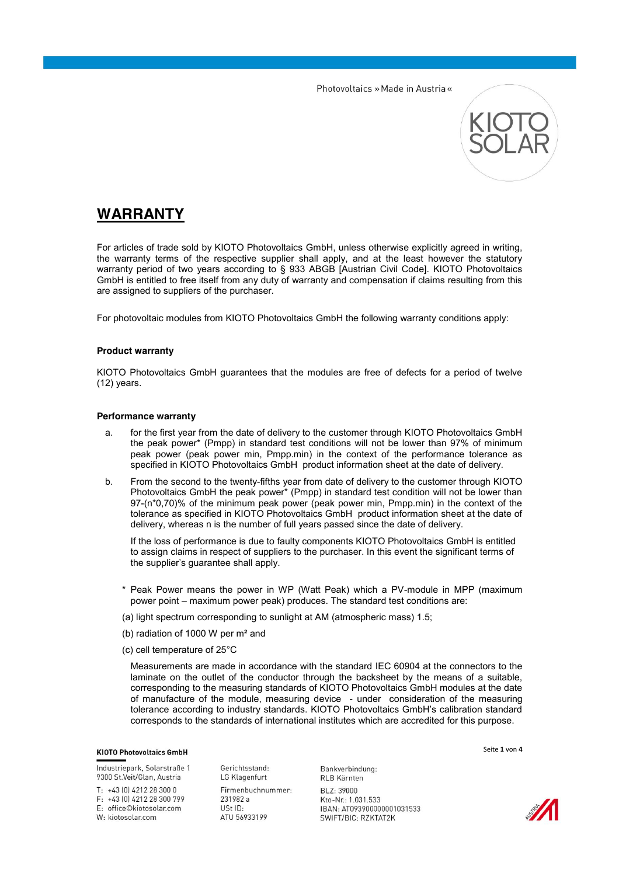

# **WARRANTY**

For articles of trade sold by KIOTO Photovoltaics GmbH, unless otherwise explicitly agreed in writing, the warranty terms of the respective supplier shall apply, and at the least however the statutory warranty period of two years according to § 933 ABGB [Austrian Civil Code]. KIOTO Photovoltaics GmbH is entitled to free itself from any duty of warranty and compensation if claims resulting from this are assigned to suppliers of the purchaser.

For photovoltaic modules from KIOTO Photovoltaics GmbH the following warranty conditions apply:

## **Product warranty**

KIOTO Photovoltaics GmbH guarantees that the modules are free of defects for a period of twelve (12) years.

#### **Performance warranty**

- a. for the first year from the date of delivery to the customer through KIOTO Photovoltaics GmbH the peak power\* (Pmpp) in standard test conditions will not be lower than 97% of minimum peak power (peak power min, Pmpp.min) in the context of the performance tolerance as specified in KIOTO Photovoltaics GmbH product information sheet at the date of delivery.
- b. From the second to the twenty-fifths year from date of delivery to the customer through KIOTO Photovoltaics GmbH the peak power\* (Pmpp) in standard test condition will not be lower than 97-(n\*0,70)% of the minimum peak power (peak power min, Pmpp.min) in the context of the tolerance as specified in KIOTO Photovoltaics GmbH product information sheet at the date of delivery, whereas n is the number of full years passed since the date of delivery.

If the loss of performance is due to faulty components KIOTO Photovoltaics GmbH is entitled to assign claims in respect of suppliers to the purchaser. In this event the significant terms of the supplier's guarantee shall apply.

- \* Peak Power means the power in WP (Watt Peak) which a PV-module in MPP (maximum power point – maximum power peak) produces. The standard test conditions are:
- (a) light spectrum corresponding to sunlight at AM (atmospheric mass) 1.5;
- (b) radiation of 1000 W per m² and
- (c) cell temperature of 25°C

Measurements are made in accordance with the standard IEC 60904 at the connectors to the laminate on the outlet of the conductor through the backsheet by the means of a suitable, corresponding to the measuring standards of KIOTO Photovoltaics GmbH modules at the date of manufacture of the module, measuring device - under consideration of the measuring tolerance according to industry standards. KIOTO Photovoltaics GmbH's calibration standard corresponds to the standards of international institutes which are accredited for this purpose.

# **KIOTO Photovoltaics GmbH**

Industriepark, Solarstraße 1 9300 St.Veit/Glan, Austria

 $T: +43[0]4212283000$ F: +43 (0) 4212 28 300 799 E: office©kiotosolar.com

W: kiotosolar.com

Gerichtsstand: LG Klagenfurt Firmenbuchnummer: 231982 a USt ID: ATU 56933199

Bankverbindung: RLB Kärnten BL 7: 39000 Kto-Nr.: 1.031.533 IBAN: AT093900000001031533 SWIFT/BIC: RZKTAT2K



Seite **1** von **4**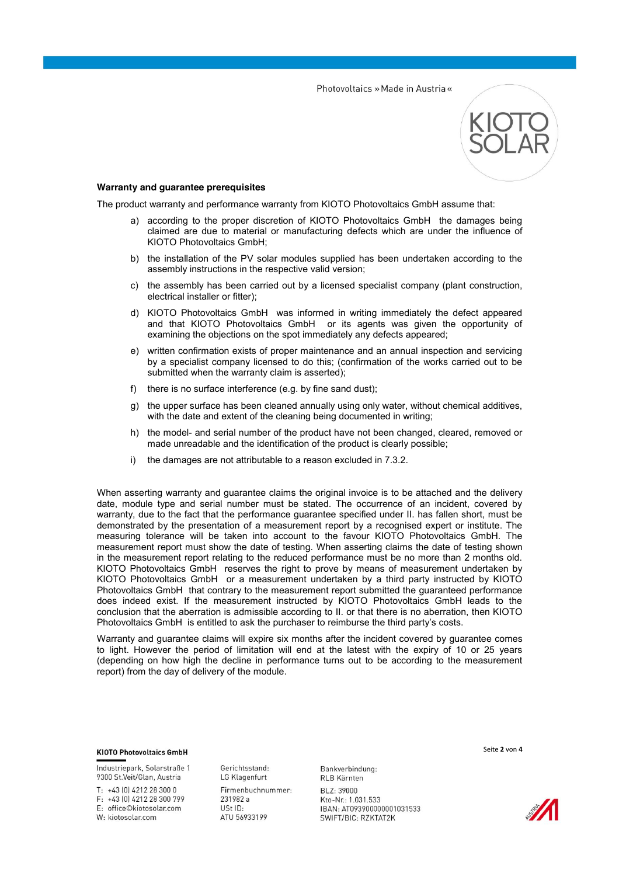

# **Warranty and guarantee prerequisites**

The product warranty and performance warranty from KIOTO Photovoltaics GmbH assume that:

- a) according to the proper discretion of KIOTO Photovoltaics GmbH the damages being claimed are due to material or manufacturing defects which are under the influence of KIOTO Photovoltaics GmbH;
- b) the installation of the PV solar modules supplied has been undertaken according to the assembly instructions in the respective valid version;
- c) the assembly has been carried out by a licensed specialist company (plant construction, electrical installer or fitter);
- d) KIOTO Photovoltaics GmbH was informed in writing immediately the defect appeared and that KIOTO Photovoltaics GmbH or its agents was given the opportunity of examining the objections on the spot immediately any defects appeared;
- e) written confirmation exists of proper maintenance and an annual inspection and servicing by a specialist company licensed to do this; (confirmation of the works carried out to be submitted when the warranty claim is asserted);
- f) there is no surface interference (e.g. by fine sand dust);
- g) the upper surface has been cleaned annually using only water, without chemical additives, with the date and extent of the cleaning being documented in writing;
- h) the model- and serial number of the product have not been changed, cleared, removed or made unreadable and the identification of the product is clearly possible;
- i) the damages are not attributable to a reason excluded in 7.3.2.

When asserting warranty and guarantee claims the original invoice is to be attached and the delivery date, module type and serial number must be stated. The occurrence of an incident, covered by warranty, due to the fact that the performance guarantee specified under II. has fallen short, must be demonstrated by the presentation of a measurement report by a recognised expert or institute. The measuring tolerance will be taken into account to the favour KIOTO Photovoltaics GmbH. The measurement report must show the date of testing. When asserting claims the date of testing shown in the measurement report relating to the reduced performance must be no more than 2 months old. KIOTO Photovoltaics GmbH reserves the right to prove by means of measurement undertaken by KIOTO Photovoltaics GmbH or a measurement undertaken by a third party instructed by KIOTO Photovoltaics GmbH that contrary to the measurement report submitted the guaranteed performance does indeed exist. If the measurement instructed by KIOTO Photovoltaics GmbH leads to the conclusion that the aberration is admissible according to II. or that there is no aberration, then KIOTO Photovoltaics GmbH is entitled to ask the purchaser to reimburse the third party's costs.

Warranty and guarantee claims will expire six months after the incident covered by guarantee comes to light. However the period of limitation will end at the latest with the expiry of 10 or 25 years (depending on how high the decline in performance turns out to be according to the measurement report) from the day of delivery of the module.

#### **KIOTO Photovoltaics GmbH**

Industriepark, Solarstraße 1 9300 St.Veit/Glan, Austria

 $T: +43[0]4212283000$ F: +43 (0) 4212 28 300 799

E: office©kiotosolar.com W: kiotosolar.com

Gerichtsstand: LG Klagenfurt Firmenbuchnummer: 231982 a USt ID: ATU 56933199

Bankverbindung: RLB Kärnten BL 7: 39000 Kto-Nr.: 1.031.533 IBAN: AT093900000001031533 SWIFT/BIC: RZKTAT2K

Seite **2** von **4**

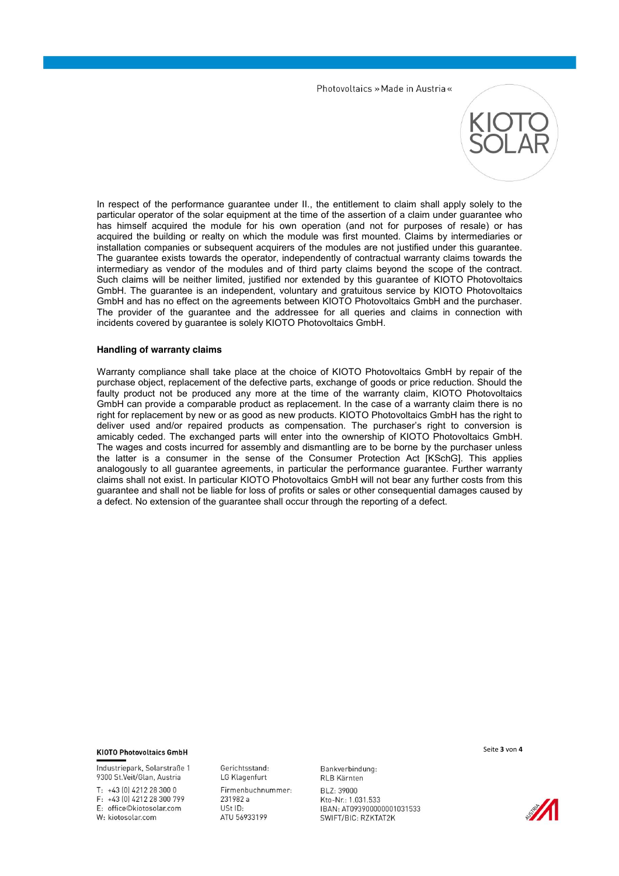

In respect of the performance guarantee under II., the entitlement to claim shall apply solely to the particular operator of the solar equipment at the time of the assertion of a claim under guarantee who has himself acquired the module for his own operation (and not for purposes of resale) or has acquired the building or realty on which the module was first mounted. Claims by intermediaries or installation companies or subsequent acquirers of the modules are not justified under this guarantee. The guarantee exists towards the operator, independently of contractual warranty claims towards the intermediary as vendor of the modules and of third party claims beyond the scope of the contract. Such claims will be neither limited, justified nor extended by this guarantee of KIOTO Photovoltaics GmbH. The guarantee is an independent, voluntary and gratuitous service by KIOTO Photovoltaics GmbH and has no effect on the agreements between KIOTO Photovoltaics GmbH and the purchaser. The provider of the guarantee and the addressee for all queries and claims in connection with incidents covered by guarantee is solely KIOTO Photovoltaics GmbH.

#### **Handling of warranty claims**

Warranty compliance shall take place at the choice of KIOTO Photovoltaics GmbH by repair of the purchase object, replacement of the defective parts, exchange of goods or price reduction. Should the faulty product not be produced any more at the time of the warranty claim, KIOTO Photovoltaics GmbH can provide a comparable product as replacement. In the case of a warranty claim there is no right for replacement by new or as good as new products. KIOTO Photovoltaics GmbH has the right to deliver used and/or repaired products as compensation. The purchaser's right to conversion is amicably ceded. The exchanged parts will enter into the ownership of KIOTO Photovoltaics GmbH. The wages and costs incurred for assembly and dismantling are to be borne by the purchaser unless the latter is a consumer in the sense of the Consumer Protection Act [KSchG]. This applies analogously to all guarantee agreements, in particular the performance guarantee. Further warranty claims shall not exist. In particular KIOTO Photovoltaics GmbH will not bear any further costs from this guarantee and shall not be liable for loss of profits or sales or other consequential damages caused by a defect. No extension of the guarantee shall occur through the reporting of a defect.

#### **KIOTO Photovoltaics GmbH**

Industriepark, Solarstraße 1 9300 St.Veit/Glan, Austria

 $T: +43[0]4212283000$ F: +43 (0) 4212 28 300 799 E: office©kiotosolar.com

W: kiotosolar.com

Gerichtsstand: LG Klagenfurt Firmenbuchnummer: 231982 a USt ID: ATU 56933199

Bankverbindung: RLB Kärnten BL 7: 39000 Kto-Nr.: 1.031.533 IBAN: AT093900000001031533 SWIFT/BIC: RZKTAT2K

Seite **3** von **4**